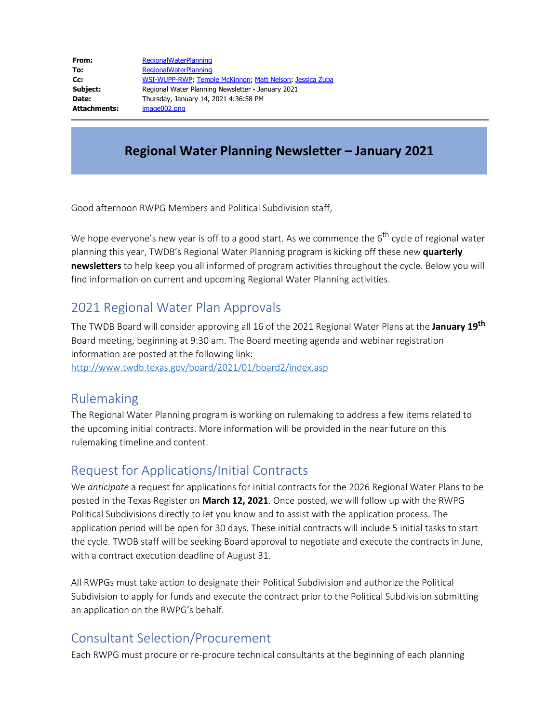| From:        | <b>RegionalWaterPlanning</b>                             |
|--------------|----------------------------------------------------------|
| To:          | <b>RegionalWaterPlanning</b>                             |
| Cc:          | WSI-WUPP-RWP, Temple McKinnon, Matt Nelson, Jessica Zuba |
| Subject:     | Regional Water Planning Newsletter - January 2021        |
| Date:        | Thursday, January 14, 2021 4:36:58 PM                    |
| Attachments: | image002.png                                             |

### **Regional Water Planning Newsletter – January 2021**

Good afternoon RWPG Members and Political Subdivision staff,

We hope everyone's new year is off to a good start. As we commence the  $6<sup>th</sup>$  cycle of regional water planning this year, TWDB's Regional Water Planning program is kicking off these new **quarterly newsletters** to help keep you all informed of program activities throughout the cycle. Below you will find information on current and upcoming Regional Water Planning activities.

### 2021 Regional Water Plan Approvals

The TWDB Board will consider approving all 16 of the 2021 Regional Water Plans at the **January 19th** Board meeting, beginning at 9:30 am. The Board meeting agenda and webinar registration information are posted at the following link:

<http://www.twdb.texas.gov/board/2021/01/board2/index.asp>

#### Rulemaking

The Regional Water Planning program is working on rulemaking to address a few items related to the upcoming initial contracts. More information will be provided in the near future on this rulemaking timeline and content.

# Request for Applications/Initial Contracts

We *anticipate* a request for applications for initial contracts for the 2026 Regional Water Plans to be posted in the Texas Register on **March 12, 2021**. Once posted, we will follow up with the RWPG Political Subdivisions directly to let you know and to assist with the application process. The application period will be open for 30 days. These initial contracts will include 5 initial tasks to start the cycle. TWDB staff will be seeking Board approval to negotiate and execute the contracts in June, with a contract execution deadline of August 31.

All RWPGs must take action to designate their Political Subdivision and authorize the Political Subdivision to apply for funds and execute the contract prior to the Political Subdivision submitting an application on the RWPG's behalf.

#### Consultant Selection/Procurement

Each RWPG must procure or re-procure technical consultants at the beginning of each planning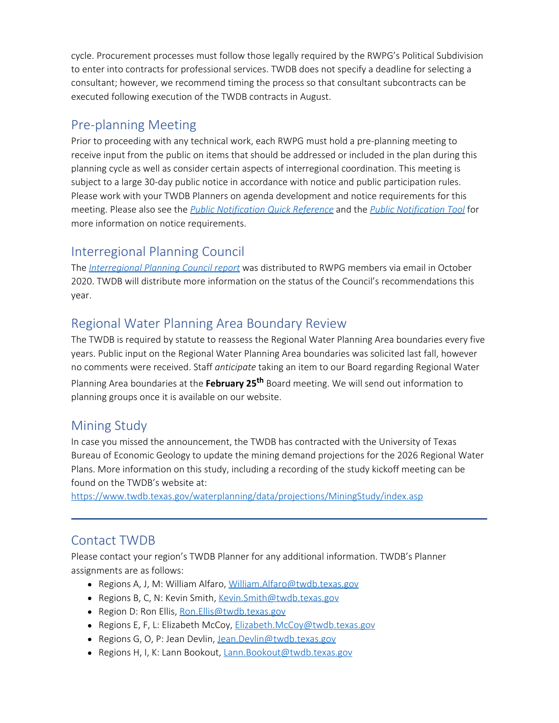cycle. Procurement processes must follow those legally required by the RWPG's Political Subdivision to enter into contracts for professional services. TWDB does not specify a deadline for selecting a consultant; however, we recommend timing the process so that consultant subcontracts can be executed following execution of the TWDB contracts in August.

### Pre-planning Meeting

Prior to proceeding with any technical work, each RWPG must hold a pre-planning meeting to receive input from the public on items that should be addressed or included in the plan during this planning cycle as well as consider certain aspects of interregional coordination. This meeting is subject to a large 30-day public notice in accordance with notice and public participation rules. Please work with your TWDB Planners on agenda development and notice requirements for this meeting. Please also see the *[Public Notification Quick Reference](https://www.twdb.texas.gov/waterplanning/rwp/planningdocu/2021/doc/current_docs/admin_docs/public_notice_quick_ref.pdf?d=17123.160000075586)* and the *[Public Notification Tool](https://www.twdb.texas.gov/waterplanning/rwp/planningdocu/2021/doc/current_docs/admin_docs/RWPPublicNoticeTool.xlsx)* for more information on notice requirements.

## Interregional Planning Council

The *[Interregional Planning Council report](http://www.twdb.texas.gov/waterplanning/rwp/ipc/docs/09302020mtg/IPC_FinalReport-Apps_091620.pdf)* was distributed to RWPG members via email in October 2020. TWDB will distribute more information on the status of the Council's recommendations this year.

## Regional Water Planning Area Boundary Review

The TWDB is required by statute to reassess the Regional Water Planning Area boundaries every five years. Public input on the Regional Water Planning Area boundaries was solicited last fall, however no comments were received. Staff *anticipate* taking an item to our Board regarding Regional Water Planning Area boundaries at the **February 25th** Board meeting. We will send out information to planning groups once it is available on our website.

# Mining Study

In case you missed the announcement, the TWDB has contracted with the University of Texas Bureau of Economic Geology to update the mining demand projections for the 2026 Regional Water Plans. More information on this study, including a recording of the study kickoff meeting can be found on the TWDB's website at:

<https://www.twdb.texas.gov/waterplanning/data/projections/MiningStudy/index.asp>

#### Contact TWDB

Please contact your region's TWDB Planner for any additional information. TWDB's Planner assignments are as follows:

- Regions A, J, M: William Alfaro, [William.Alfaro@twdb.texas.gov](mailto:William.Alfaro@twdb.texas.gov)
- Regions B, C, N: Kevin Smith, [Kevin.Smith@twdb.texas.gov](mailto:Kevin.Smith@twdb.texas.gov)
- Region D: Ron Ellis, Ron. Ellis@twdb.texas.gov
- Regions E, F, L: Elizabeth McCoy, [Elizabeth.McCoy@twdb.texas.gov](mailto:Elizabeth.McCoy@twdb.texas.gov)
- Regions G, O, P: Jean Devlin, [Jean.Devlin@twdb.texas.gov](mailto:Jean.Devlin@twdb.texas.gov)
- Regions H, I, K: Lann Bookout, [Lann.Bookout@twdb.texas.gov](mailto:Lann.Bookout@twdb.texas.gov)